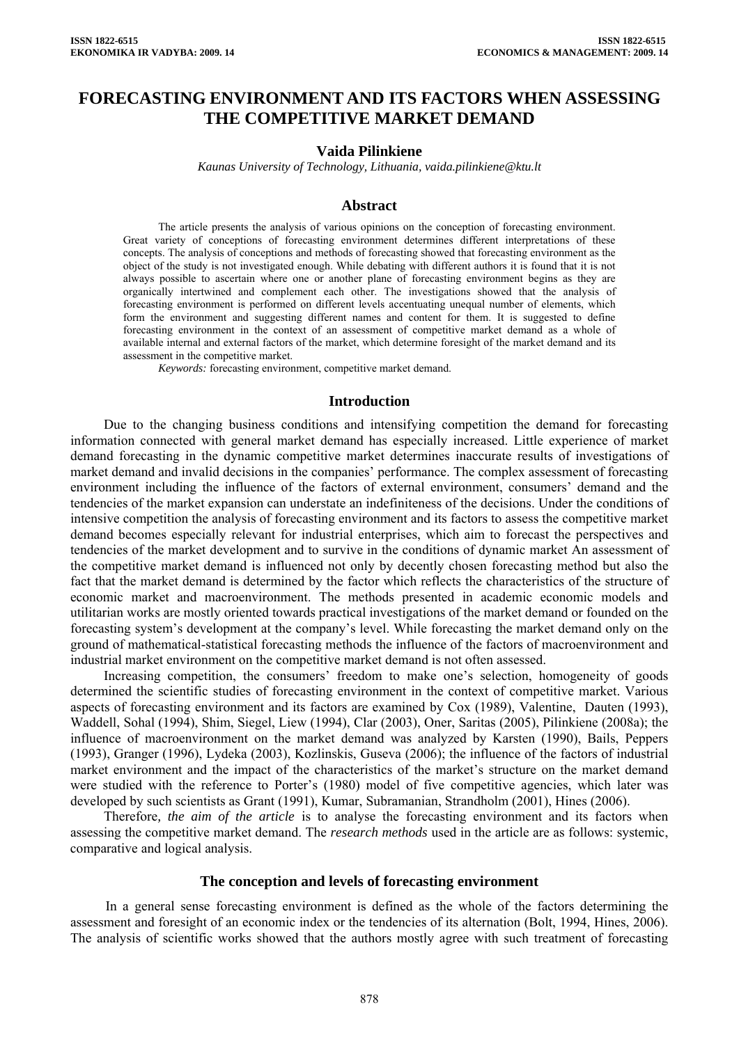# **FORECASTING ENVIRONMENT AND ITS FACTORS WHEN ASSESSING THE COMPETITIVE MARKET DEMAND**

## **Vaida Pilinkiene**

*Kaunas University of Technology, Lithuania, vaida.pilinkiene@ktu.lt* 

### **Abstract**

The article presents the analysis of various opinions on the conception of forecasting environment. Great variety of conceptions of forecasting environment determines different interpretations of these concepts. The analysis of conceptions and methods of forecasting showed that forecasting environment as the object of the study is not investigated enough. While debating with different authors it is found that it is not always possible to ascertain where one or another plane of forecasting environment begins as they are organically intertwined and complement each other. The investigations showed that the analysis of forecasting environment is performed on different levels accentuating unequal number of elements, which form the environment and suggesting different names and content for them. It is suggested to define forecasting environment in the context of an assessment of competitive market demand as a whole of available internal and external factors of the market, which determine foresight of the market demand and its assessment in the competitive market.

*Keywords:* forecasting environment, competitive market demand.

### **Introduction**

Due to the changing business conditions and intensifying competition the demand for forecasting information connected with general market demand has especially increased. Little experience of market demand forecasting in the dynamic competitive market determines inaccurate results of investigations of market demand and invalid decisions in the companies' performance. The complex assessment of forecasting environment including the influence of the factors of external environment, consumers' demand and the tendencies of the market expansion can understate an indefiniteness of the decisions. Under the conditions of intensive competition the analysis of forecasting environment and its factors to assess the competitive market demand becomes especially relevant for industrial enterprises, which aim to forecast the perspectives and tendencies of the market development and to survive in the conditions of dynamic market An assessment of the competitive market demand is influenced not only by decently chosen forecasting method but also the fact that the market demand is determined by the factor which reflects the characteristics of the structure of economic market and macroenvironment. The methods presented in academic economic models and utilitarian works are mostly oriented towards practical investigations of the market demand or founded on the forecasting system's development at the company's level. While forecasting the market demand only on the ground of mathematical-statistical forecasting methods the influence of the factors of macroenvironment and industrial market environment on the competitive market demand is not often assessed.

Increasing competition, the consumers' freedom to make one's selection, homogeneity of goods determined the scientific studies of forecasting environment in the context of competitive market. Various aspects of forecasting environment and its factors are examined by Cox (1989), Valentine, Dauten (1993), Waddell, Sohal (1994), Shim, Siegel, Liew (1994), Clar (2003), Oner, Saritas (2005), Pilinkiene (2008a); the influence of macroenvironment on the market demand was analyzed by Karsten (1990), Bails, Peppers (1993), Granger (1996), Lydeka (2003), Kozlinskis, Guseva (2006); the influence of the factors of industrial market environment and the impact of the characteristics of the market's structure on the market demand were studied with the reference to Porter's (1980) model of five competitive agencies, which later was developed by such scientists as Grant (1991), Kumar, Subramanian, Strandholm (2001), Hines (2006).

Therefore*, the aim of the article* is to analyse the forecasting environment and its factors when assessing the competitive market demand. The *research methods* used in the article are as follows: systemic, comparative and logical analysis.

#### **The conception and levels of forecasting environment**

In a general sense forecasting environment is defined as the whole of the factors determining the assessment and foresight of an economic index or the tendencies of its alternation (Bolt, 1994, Hines, 2006). The analysis of scientific works showed that the authors mostly agree with such treatment of forecasting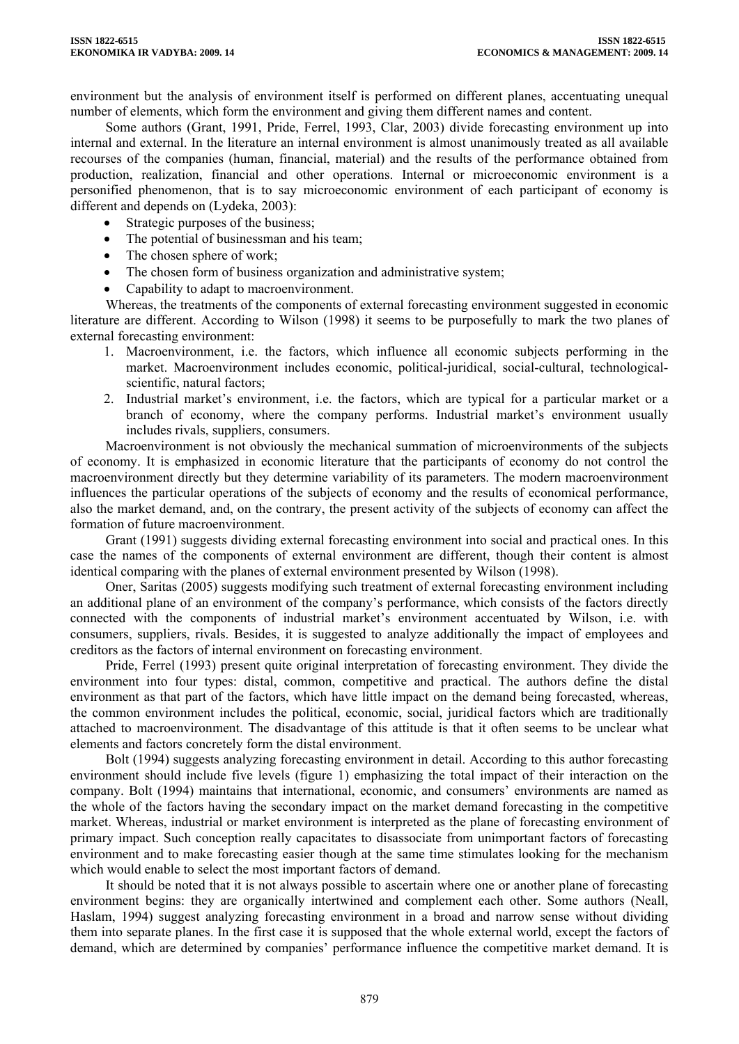environment but the analysis of environment itself is performed on different planes, accentuating unequal number of elements, which form the environment and giving them different names and content.

Some authors (Grant, 1991, Pride, Ferrel, 1993, Clar, 2003) divide forecasting environment up into internal and external. In the literature an internal environment is almost unanimously treated as all available recourses of the companies (human, financial, material) and the results of the performance obtained from production, realization, financial and other operations. Internal or microeconomic environment is a personified phenomenon, that is to say microeconomic environment of each participant of economy is different and depends on (Lydeka, 2003):

- Strategic purposes of the business;
- The potential of businessman and his team;
- The chosen sphere of work;
- The chosen form of business organization and administrative system;
- Capability to adapt to macroenvironment.

Whereas, the treatments of the components of external forecasting environment suggested in economic literature are different. According to Wilson (1998) it seems to be purposefully to mark the two planes of external forecasting environment:

- 1. Macroenvironment, i.e. the factors, which influence all economic subjects performing in the market. Macroenvironment includes economic, political-juridical, social-cultural, technologicalscientific, natural factors;
- 2. Industrial market's environment, i.e. the factors, which are typical for a particular market or a branch of economy, where the company performs. Industrial market's environment usually includes rivals, suppliers, consumers.

Macroenvironment is not obviously the mechanical summation of microenvironments of the subjects of economy. It is emphasized in economic literature that the participants of economy do not control the macroenvironment directly but they determine variability of its parameters. The modern macroenvironment influences the particular operations of the subjects of economy and the results of economical performance, also the market demand, and, on the contrary, the present activity of the subjects of economy can affect the formation of future macroenvironment.

Grant (1991) suggests dividing external forecasting environment into social and practical ones. In this case the names of the components of external environment are different, though their content is almost identical comparing with the planes of external environment presented by Wilson (1998).

Oner, Saritas (2005) suggests modifying such treatment of external forecasting environment including an additional plane of an environment of the company's performance, which consists of the factors directly connected with the components of industrial market's environment accentuated by Wilson, i.e. with consumers, suppliers, rivals. Besides, it is suggested to analyze additionally the impact of employees and creditors as the factors of internal environment on forecasting environment.

Pride, Ferrel (1993) present quite original interpretation of forecasting environment. They divide the environment into four types: distal, common, competitive and practical. The authors define the distal environment as that part of the factors, which have little impact on the demand being forecasted, whereas, the common environment includes the political, economic, social, juridical factors which are traditionally attached to macroenvironment. The disadvantage of this attitude is that it often seems to be unclear what elements and factors concretely form the distal environment.

Bolt (1994) suggests analyzing forecasting environment in detail. According to this author forecasting environment should include five levels (figure 1) emphasizing the total impact of their interaction on the company. Bolt (1994) maintains that international, economic, and consumers' environments are named as the whole of the factors having the secondary impact on the market demand forecasting in the competitive market. Whereas, industrial or market environment is interpreted as the plane of forecasting environment of primary impact. Such conception really capacitates to disassociate from unimportant factors of forecasting environment and to make forecasting easier though at the same time stimulates looking for the mechanism which would enable to select the most important factors of demand.

It should be noted that it is not always possible to ascertain where one or another plane of forecasting environment begins: they are organically intertwined and complement each other. Some authors (Neall, Haslam, 1994) suggest analyzing forecasting environment in a broad and narrow sense without dividing them into separate planes. In the first case it is supposed that the whole external world, except the factors of demand, which are determined by companies' performance influence the competitive market demand. It is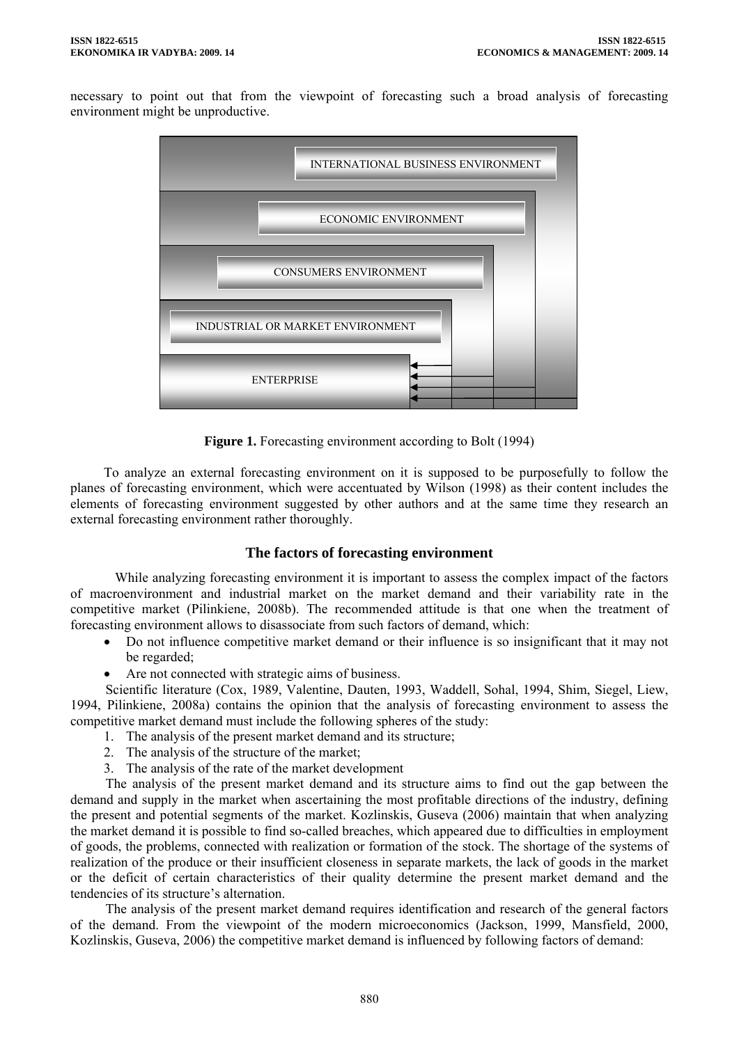necessary to point out that from the viewpoint of forecasting such a broad analysis of forecasting environment might be unproductive.



**Figure 1.** Forecasting environment according to Bolt (1994)

To analyze an external forecasting environment on it is supposed to be purposefully to follow the planes of forecasting environment, which were accentuated by Wilson (1998) as their content includes the elements of forecasting environment suggested by other authors and at the same time they research an external forecasting environment rather thoroughly.

# **The factors of forecasting environment**

While analyzing forecasting environment it is important to assess the complex impact of the factors of macroenvironment and industrial market on the market demand and their variability rate in the competitive market (Pilinkiene, 2008b). The recommended attitude is that one when the treatment of forecasting environment allows to disassociate from such factors of demand, which:

- Do not influence competitive market demand or their influence is so insignificant that it may not be regarded;
- Are not connected with strategic aims of business.

Scientific literature (Cox, 1989, Valentine, Dauten, 1993, Waddell, Sohal, 1994, Shim, Siegel, Liew, 1994, Pilinkiene, 2008a) contains the opinion that the analysis of forecasting environment to assess the competitive market demand must include the following spheres of the study:

- 1. The analysis of the present market demand and its structure;
- 2. The analysis of the structure of the market;
- 3. The analysis of the rate of the market development

The analysis of the present market demand and its structure aims to find out the gap between the demand and supply in the market when ascertaining the most profitable directions of the industry, defining the present and potential segments of the market. Kozlinskis, Guseva (2006) maintain that when analyzing the market demand it is possible to find so-called breaches, which appeared due to difficulties in employment of goods, the problems, connected with realization or formation of the stock. The shortage of the systems of realization of the produce or their insufficient closeness in separate markets, the lack of goods in the market or the deficit of certain characteristics of their quality determine the present market demand and the tendencies of its structure's alternation.

The analysis of the present market demand requires identification and research of the general factors of the demand. From the viewpoint of the modern microeconomics (Jackson, 1999, Mansfield, 2000, Kozlinskis, Guseva, 2006) the competitive market demand is influenced by following factors of demand: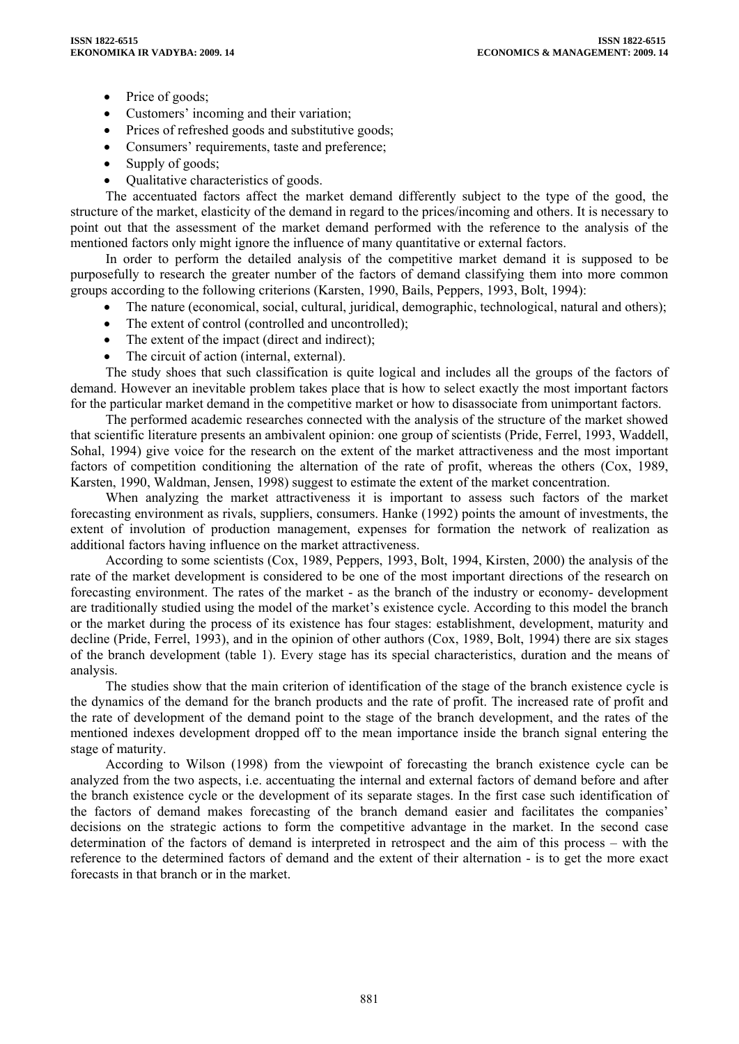- Price of goods;
- Customers' incoming and their variation;
- Prices of refreshed goods and substitutive goods;
- Consumers' requirements, taste and preference;
- Supply of goods;
- Qualitative characteristics of goods.

The accentuated factors affect the market demand differently subject to the type of the good, the structure of the market, elasticity of the demand in regard to the prices/incoming and others. It is necessary to point out that the assessment of the market demand performed with the reference to the analysis of the mentioned factors only might ignore the influence of many quantitative or external factors.

In order to perform the detailed analysis of the competitive market demand it is supposed to be purposefully to research the greater number of the factors of demand classifying them into more common groups according to the following criterions (Karsten, 1990, Bails, Peppers, 1993, Bolt, 1994):

- The nature (economical, social, cultural, juridical, demographic, technological, natural and others);
- The extent of control (controlled and uncontrolled);
- The extent of the impact (direct and indirect);
- The circuit of action (internal, external).

The study shoes that such classification is quite logical and includes all the groups of the factors of demand. However an inevitable problem takes place that is how to select exactly the most important factors for the particular market demand in the competitive market or how to disassociate from unimportant factors.

The performed academic researches connected with the analysis of the structure of the market showed that scientific literature presents an ambivalent opinion: one group of scientists (Pride, Ferrel, 1993, Waddell, Sohal, 1994) give voice for the research on the extent of the market attractiveness and the most important factors of competition conditioning the alternation of the rate of profit, whereas the others (Cox, 1989, Karsten, 1990, Waldman, Jensen, 1998) suggest to estimate the extent of the market concentration.

When analyzing the market attractiveness it is important to assess such factors of the market forecasting environment as rivals, suppliers, consumers. Hanke (1992) points the amount of investments, the extent of involution of production management, expenses for formation the network of realization as additional factors having influence on the market attractiveness.

According to some scientists (Cox, 1989, Peppers, 1993, Bolt, 1994, Kirsten, 2000) the analysis of the rate of the market development is considered to be one of the most important directions of the research on forecasting environment. The rates of the market - as the branch of the industry or economy- development are traditionally studied using the model of the market's existence cycle. According to this model the branch or the market during the process of its existence has four stages: establishment, development, maturity and decline (Pride, Ferrel, 1993), and in the opinion of other authors (Cox, 1989, Bolt, 1994) there are six stages of the branch development (table 1). Every stage has its special characteristics, duration and the means of analysis.

The studies show that the main criterion of identification of the stage of the branch existence cycle is the dynamics of the demand for the branch products and the rate of profit. The increased rate of profit and the rate of development of the demand point to the stage of the branch development, and the rates of the mentioned indexes development dropped off to the mean importance inside the branch signal entering the stage of maturity.

According to Wilson (1998) from the viewpoint of forecasting the branch existence cycle can be analyzed from the two aspects, i.e. accentuating the internal and external factors of demand before and after the branch existence cycle or the development of its separate stages. In the first case such identification of the factors of demand makes forecasting of the branch demand easier and facilitates the companies' decisions on the strategic actions to form the competitive advantage in the market. In the second case determination of the factors of demand is interpreted in retrospect and the aim of this process – with the reference to the determined factors of demand and the extent of their alternation - is to get the more exact forecasts in that branch or in the market.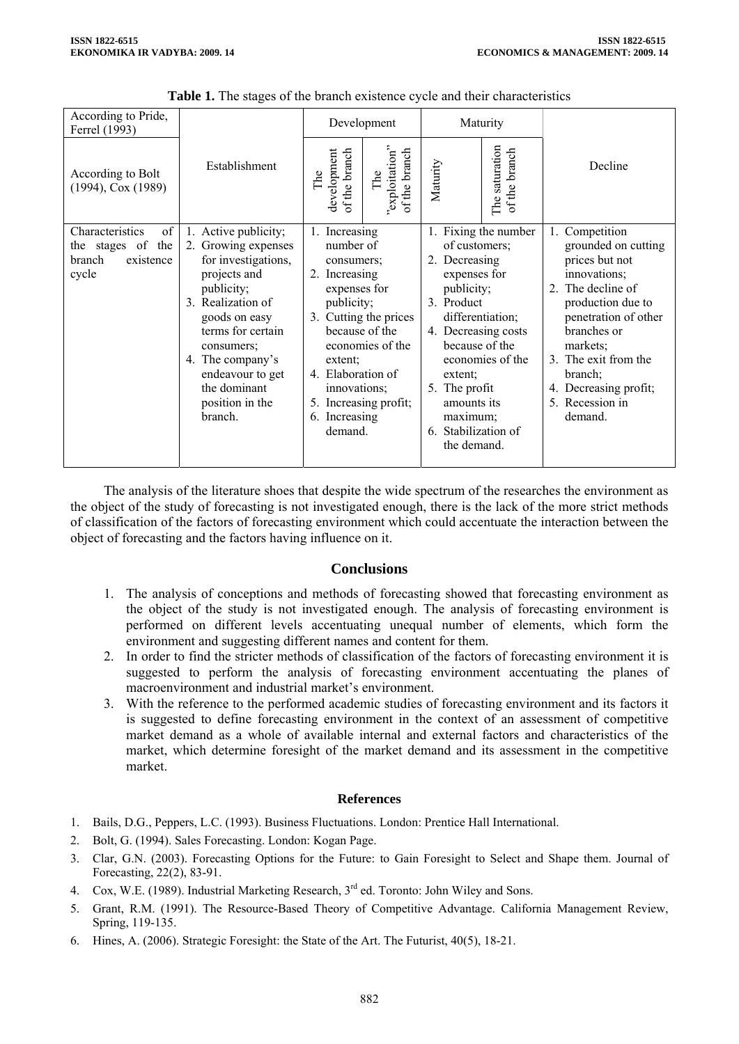| According to Pride,<br>Ferrel (1993)                                       |                                                                                                                                                                                                                                                                 | Development                                                                                                                                                                                                                                                 |                                        | Maturity                                                                                                                                                                                                                                                                               |                                    |                                                                                                                                                                                                                                                                |  |
|----------------------------------------------------------------------------|-----------------------------------------------------------------------------------------------------------------------------------------------------------------------------------------------------------------------------------------------------------------|-------------------------------------------------------------------------------------------------------------------------------------------------------------------------------------------------------------------------------------------------------------|----------------------------------------|----------------------------------------------------------------------------------------------------------------------------------------------------------------------------------------------------------------------------------------------------------------------------------------|------------------------------------|----------------------------------------------------------------------------------------------------------------------------------------------------------------------------------------------------------------------------------------------------------------|--|
| According to Bolt<br>$(1994)$ , Cox $(1989)$                               | Establishment                                                                                                                                                                                                                                                   | the branch<br>development<br>The<br>$\mathbf{f}$                                                                                                                                                                                                            | "exploitation"<br>of the branch<br>The | Maturity                                                                                                                                                                                                                                                                               | saturation<br>of the branch<br>The | Decline                                                                                                                                                                                                                                                        |  |
| Characteristics<br>of<br>the stages of the<br>branch<br>existence<br>cycle | 1. Active publicity;<br>2. Growing expenses<br>for investigations,<br>projects and<br>publicity;<br>3. Realization of<br>goods on easy<br>terms for certain<br>consumers;<br>4. The company's<br>endeavour to get<br>the dominant<br>position in the<br>branch. | 1. Increasing<br>number of<br>consumers;<br>2. Increasing<br>expenses for<br>publicity;<br>3. Cutting the prices<br>because of the<br>economies of the<br>extent;<br>4. Elaboration of<br>innovations;<br>5. Increasing profit;<br>6. Increasing<br>demand. |                                        | Fixing the number<br>1.<br>of customers;<br>2. Decreasing<br>expenses for<br>publicity;<br>3. Product<br>differentiation;<br>4. Decreasing costs<br>because of the<br>economies of the<br>extent:<br>5. The profit<br>amounts its<br>maximum;<br>Stabilization of<br>6.<br>the demand. |                                    | 1. Competition<br>grounded on cutting<br>prices but not<br>innovations;<br>2. The decline of<br>production due to<br>penetration of other<br>branches or<br>markets;<br>3. The exit from the<br>branch;<br>4. Decreasing profit;<br>5. Recession in<br>demand. |  |

**Table 1.** The stages of the branch existence cycle and their characteristics

The analysis of the literature shoes that despite the wide spectrum of the researches the environment as the object of the study of forecasting is not investigated enough, there is the lack of the more strict methods of classification of the factors of forecasting environment which could accentuate the interaction between the object of forecasting and the factors having influence on it.

# **Conclusions**

- 1. The analysis of conceptions and methods of forecasting showed that forecasting environment as the object of the study is not investigated enough. The analysis of forecasting environment is performed on different levels accentuating unequal number of elements, which form the environment and suggesting different names and content for them.
- 2. In order to find the stricter methods of classification of the factors of forecasting environment it is suggested to perform the analysis of forecasting environment accentuating the planes of macroenvironment and industrial market's environment.
- 3. With the reference to the performed academic studies of forecasting environment and its factors it is suggested to define forecasting environment in the context of an assessment of competitive market demand as a whole of available internal and external factors and characteristics of the market, which determine foresight of the market demand and its assessment in the competitive market.

### **References**

- 1. Bails, D.G., Peppers, L.C. (1993). Business Fluctuations. London: Prentice Hall International.
- 2. Bolt, G. (1994). Sales Forecasting. London: Kogan Page.
- 3. Clar, G.N. (2003). Forecasting Options for the Future: to Gain Foresight to Select and Shape them. Journal of Forecasting, 22(2), 83-91.
- 4. Cox, W.E. (1989). Industrial Marketing Research, 3rd ed. Toronto: John Wiley and Sons.
- 5. Grant, R.M. (1991). The Resource-Based Theory of Competitive Advantage. California Management Review, Spring, 119-135.
- 6. Hines, A. (2006). Strategic Foresight: the State of the Art. The Futurist, 40(5), 18-21.